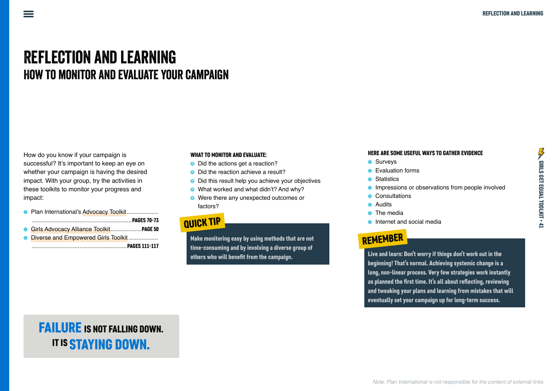# **REFLECTION AND LEARNING HOW TO MONITOR AND EVALUATE YOUR CAMPAIGN**

How do you know if your campaign is successful? It's important to keep an eye on whether your campaign is having the desired impact. With your group, try the activities in these toolkits to monitor your progress and impact:

| • Plan International's Advocacy Toolkit |
|-----------------------------------------|
|                                         |
| Girls Advocacy Alliance Toolkit PAGE 50 |
| • Diverse and Empowered Girls Toolkit   |
|                                         |

#### WHAT TO MONITOR AND FVALUATE

- Did the actions get a reaction?
- Did the reaction achieve a result?
- Did this result help you achieve your objectives
- What worked and what didn't? And why?
- Were there any unexpected outcomes or factors?

### **QUICK TIP**

Make monitoring easy by using methods that are not time-consuming and by involving a diverse group of others who will benefit from the campaign.

#### HERE ARE SOME USEFUL WAYS TO GATHER EVIDENCE

- Surveys
- Evaluation forms
- Statistics
- Impressions or observations from people involved
- Consultations
- Audits
- $\bullet$  The media
- Internet and social media

### **REMEMBER**

Live and learn: Don't worry if things don't work out in the beginning! That's normal. Achieving systemic change is a long, non-linear process. Very few strategies work instantly as planned the first time. It's all about reflecting, reviewing and tweaking your plans and learning from mistakes that will eventually set your campaign up for long-term success.

## **FAILURE IS NOT FALLING DOWN. IT IS STAYING DOWN.**